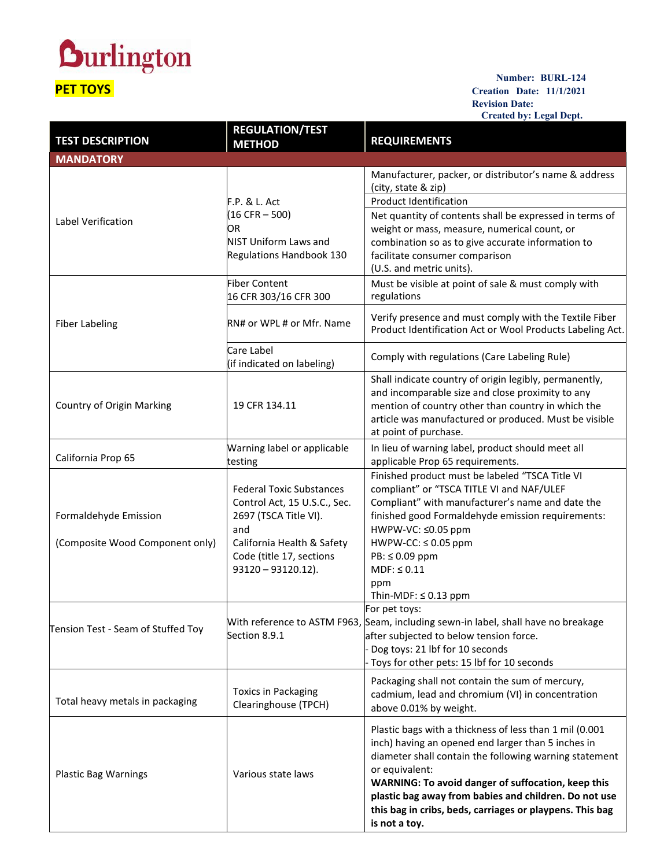## **Durlington PET TOYS**

## **Number: BURL-124 Creation Date: 11/1/2021 Revision Date: Created by: Legal Dept.**

|                                             |                                                       | Created by: Legal Dept.                                                                                             |
|---------------------------------------------|-------------------------------------------------------|---------------------------------------------------------------------------------------------------------------------|
| <b>TEST DESCRIPTION</b><br><b>MANDATORY</b> | <b>REGULATION/TEST</b><br><b>METHOD</b>               | <b>REQUIREMENTS</b>                                                                                                 |
|                                             |                                                       | Manufacturer, packer, or distributor's name & address<br>(city, state & zip)                                        |
| Label Verification                          | F.P. & L. Act                                         | <b>Product Identification</b>                                                                                       |
|                                             | $(16 \text{ CFR} - 500)$                              | Net quantity of contents shall be expressed in terms of                                                             |
|                                             | OR                                                    | weight or mass, measure, numerical count, or                                                                        |
|                                             | <b>NIST Uniform Laws and</b>                          | combination so as to give accurate information to                                                                   |
|                                             | Regulations Handbook 130                              | facilitate consumer comparison<br>(U.S. and metric units).                                                          |
| <b>Fiber Labeling</b>                       | <b>Fiber Content</b>                                  | Must be visible at point of sale & must comply with                                                                 |
|                                             | 16 CFR 303/16 CFR 300                                 | regulations                                                                                                         |
|                                             | RN# or WPL # or Mfr. Name                             | Verify presence and must comply with the Textile Fiber<br>Product Identification Act or Wool Products Labeling Act. |
|                                             | Care Label<br>(if indicated on labeling)              | Comply with regulations (Care Labeling Rule)                                                                        |
| Country of Origin Marking                   |                                                       | Shall indicate country of origin legibly, permanently,<br>and incomparable size and close proximity to any          |
|                                             | 19 CFR 134.11                                         | mention of country other than country in which the<br>article was manufactured or produced. Must be visible         |
|                                             |                                                       | at point of purchase.                                                                                               |
| California Prop 65                          | Warning label or applicable<br>testing                | In lieu of warning label, product should meet all<br>applicable Prop 65 requirements.                               |
|                                             |                                                       | Finished product must be labeled "TSCA Title VI                                                                     |
|                                             | <b>Federal Toxic Substances</b>                       | compliant" or "TSCA TITLE VI and NAF/ULEF                                                                           |
| Formaldehyde Emission                       | Control Act, 15 U.S.C., Sec.<br>2697 (TSCA Title VI). | Compliant" with manufacturer's name and date the<br>finished good Formaldehyde emission requirements:               |
|                                             | and                                                   | HWPW-VC: ≤0.05 ppm                                                                                                  |
| (Composite Wood Component only)             | California Health & Safety                            | $HWPW-CC: \leq 0.05$ ppm                                                                                            |
|                                             | Code (title 17, sections                              | PB: ≤ 0.09 ppm                                                                                                      |
|                                             | $93120 - 93120.12$ ).                                 | $MDF: \leq 0.11$                                                                                                    |
|                                             |                                                       | ppm                                                                                                                 |
|                                             |                                                       | Thin-MDF: $\leq$ 0.13 ppm<br> For pet toys:                                                                         |
|                                             |                                                       | With reference to ASTM F963, Seam, including sewn-in label, shall have no breakage                                  |
| Tension Test - Seam of Stuffed Toy          | Section 8.9.1                                         | after subjected to below tension force.                                                                             |
|                                             |                                                       | Dog toys: 21 lbf for 10 seconds                                                                                     |
|                                             |                                                       | Toys for other pets: 15 lbf for 10 seconds                                                                          |
|                                             | <b>Toxics in Packaging</b>                            | Packaging shall not contain the sum of mercury,                                                                     |
| Total heavy metals in packaging             | Clearinghouse (TPCH)                                  | cadmium, lead and chromium (VI) in concentration<br>above 0.01% by weight.                                          |
|                                             |                                                       |                                                                                                                     |
|                                             |                                                       | Plastic bags with a thickness of less than 1 mil (0.001<br>inch) having an opened end larger than 5 inches in       |
| <b>Plastic Bag Warnings</b>                 | Various state laws                                    | diameter shall contain the following warning statement                                                              |
|                                             |                                                       | or equivalent:                                                                                                      |
|                                             |                                                       | WARNING: To avoid danger of suffocation, keep this                                                                  |
|                                             |                                                       | plastic bag away from babies and children. Do not use                                                               |
|                                             |                                                       | this bag in cribs, beds, carriages or playpens. This bag<br>is not a toy.                                           |